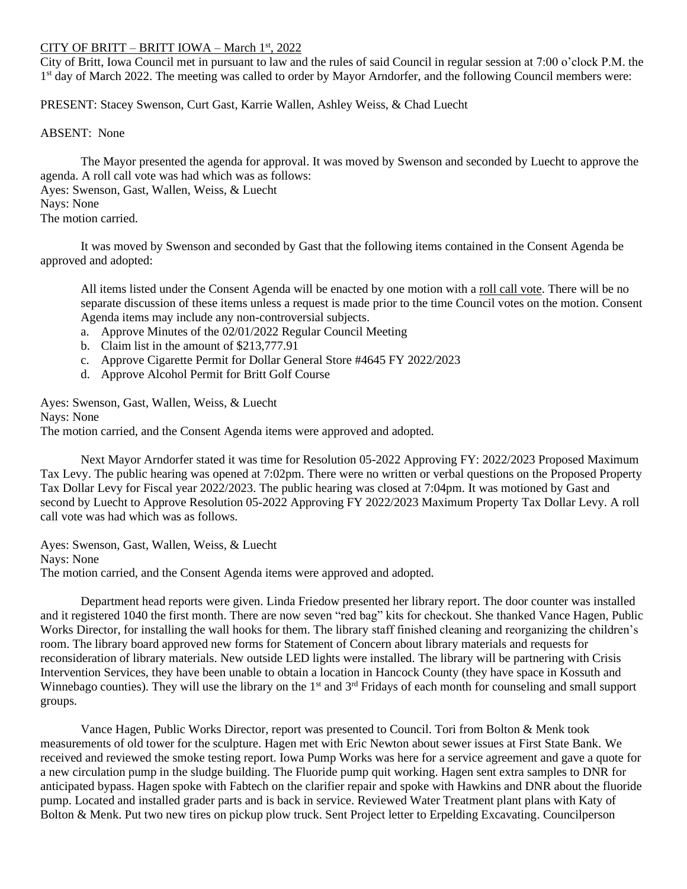## CITY OF BRITT – BRITT IOWA – March 1st , 2022

City of Britt, Iowa Council met in pursuant to law and the rules of said Council in regular session at 7:00 o'clock P.M. the 1<sup>st</sup> day of March 2022. The meeting was called to order by Mayor Arndorfer, and the following Council members were:

PRESENT: Stacey Swenson, Curt Gast, Karrie Wallen, Ashley Weiss, & Chad Luecht

ABSENT: None

The Mayor presented the agenda for approval. It was moved by Swenson and seconded by Luecht to approve the agenda. A roll call vote was had which was as follows: Ayes: Swenson, Gast, Wallen, Weiss, & Luecht Nays: None The motion carried.

It was moved by Swenson and seconded by Gast that the following items contained in the Consent Agenda be approved and adopted:

All items listed under the Consent Agenda will be enacted by one motion with a roll call vote. There will be no separate discussion of these items unless a request is made prior to the time Council votes on the motion. Consent Agenda items may include any non-controversial subjects.

- a. Approve Minutes of the 02/01/2022 Regular Council Meeting
- b. Claim list in the amount of \$213,777.91
- c. Approve Cigarette Permit for Dollar General Store #4645 FY 2022/2023
- d. Approve Alcohol Permit for Britt Golf Course

Ayes: Swenson, Gast, Wallen, Weiss, & Luecht Nays: None The motion carried, and the Consent Agenda items were approved and adopted.

Next Mayor Arndorfer stated it was time for Resolution 05-2022 Approving FY: 2022/2023 Proposed Maximum Tax Levy. The public hearing was opened at 7:02pm. There were no written or verbal questions on the Proposed Property Tax Dollar Levy for Fiscal year 2022/2023. The public hearing was closed at 7:04pm. It was motioned by Gast and second by Luecht to Approve Resolution 05-2022 Approving FY 2022/2023 Maximum Property Tax Dollar Levy. A roll call vote was had which was as follows.

Ayes: Swenson, Gast, Wallen, Weiss, & Luecht Nays: None The motion carried, and the Consent Agenda items were approved and adopted.

Department head reports were given. Linda Friedow presented her library report. The door counter was installed and it registered 1040 the first month. There are now seven "red bag" kits for checkout. She thanked Vance Hagen, Public Works Director, for installing the wall hooks for them. The library staff finished cleaning and reorganizing the children's room. The library board approved new forms for Statement of Concern about library materials and requests for reconsideration of library materials. New outside LED lights were installed. The library will be partnering with Crisis Intervention Services, they have been unable to obtain a location in Hancock County (they have space in Kossuth and Winnebago counties). They will use the library on the 1<sup>st</sup> and 3<sup>rd</sup> Fridays of each month for counseling and small support groups.

Vance Hagen, Public Works Director, report was presented to Council. Tori from Bolton & Menk took measurements of old tower for the sculpture. Hagen met with Eric Newton about sewer issues at First State Bank. We received and reviewed the smoke testing report. Iowa Pump Works was here for a service agreement and gave a quote for a new circulation pump in the sludge building. The Fluoride pump quit working. Hagen sent extra samples to DNR for anticipated bypass. Hagen spoke with Fabtech on the clarifier repair and spoke with Hawkins and DNR about the fluoride pump. Located and installed grader parts and is back in service. Reviewed Water Treatment plant plans with Katy of Bolton & Menk. Put two new tires on pickup plow truck. Sent Project letter to Erpelding Excavating. Councilperson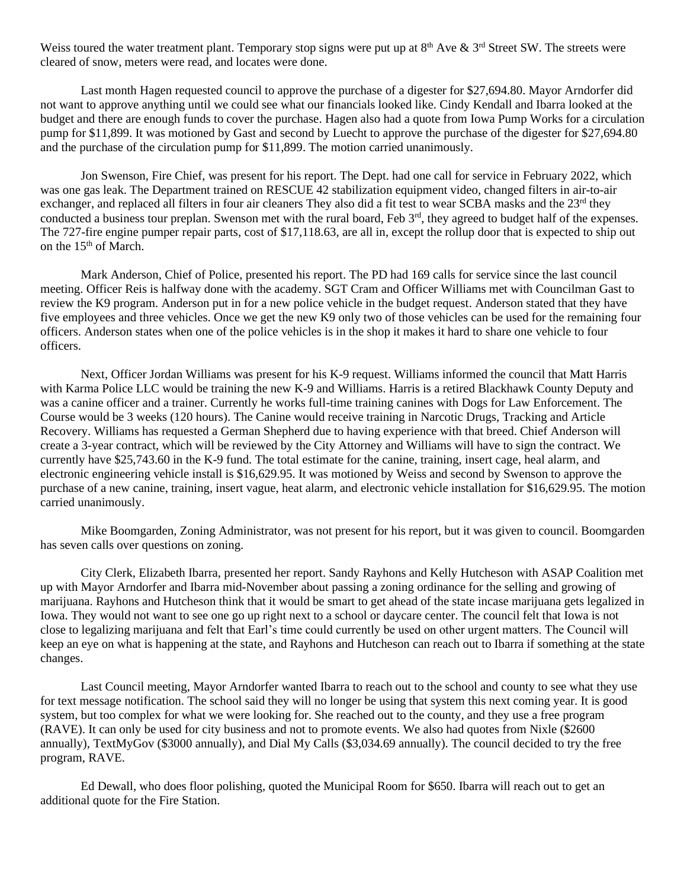Weiss toured the water treatment plant. Temporary stop signs were put up at  $8<sup>th</sup>$  Ave  $\&$  3<sup>rd</sup> Street SW. The streets were cleared of snow, meters were read, and locates were done.

Last month Hagen requested council to approve the purchase of a digester for \$27,694.80. Mayor Arndorfer did not want to approve anything until we could see what our financials looked like. Cindy Kendall and Ibarra looked at the budget and there are enough funds to cover the purchase. Hagen also had a quote from Iowa Pump Works for a circulation pump for \$11,899. It was motioned by Gast and second by Luecht to approve the purchase of the digester for \$27,694.80 and the purchase of the circulation pump for \$11,899. The motion carried unanimously.

Jon Swenson, Fire Chief, was present for his report. The Dept. had one call for service in February 2022, which was one gas leak. The Department trained on RESCUE 42 stabilization equipment video, changed filters in air-to-air exchanger, and replaced all filters in four air cleaners They also did a fit test to wear SCBA masks and the 23<sup>rd</sup> they conducted a business tour preplan. Swenson met with the rural board, Feb  $3<sup>rd</sup>$ , they agreed to budget half of the expenses. The 727-fire engine pumper repair parts, cost of \$17,118.63, are all in, except the rollup door that is expected to ship out on the 15<sup>th</sup> of March.

Mark Anderson, Chief of Police, presented his report. The PD had 169 calls for service since the last council meeting. Officer Reis is halfway done with the academy. SGT Cram and Officer Williams met with Councilman Gast to review the K9 program. Anderson put in for a new police vehicle in the budget request. Anderson stated that they have five employees and three vehicles. Once we get the new K9 only two of those vehicles can be used for the remaining four officers. Anderson states when one of the police vehicles is in the shop it makes it hard to share one vehicle to four officers.

Next, Officer Jordan Williams was present for his K-9 request. Williams informed the council that Matt Harris with Karma Police LLC would be training the new K-9 and Williams. Harris is a retired Blackhawk County Deputy and was a canine officer and a trainer. Currently he works full-time training canines with Dogs for Law Enforcement. The Course would be 3 weeks (120 hours). The Canine would receive training in Narcotic Drugs, Tracking and Article Recovery. Williams has requested a German Shepherd due to having experience with that breed. Chief Anderson will create a 3-year contract, which will be reviewed by the City Attorney and Williams will have to sign the contract. We currently have \$25,743.60 in the K-9 fund. The total estimate for the canine, training, insert cage, heal alarm, and electronic engineering vehicle install is \$16,629.95. It was motioned by Weiss and second by Swenson to approve the purchase of a new canine, training, insert vague, heat alarm, and electronic vehicle installation for \$16,629.95. The motion carried unanimously.

Mike Boomgarden, Zoning Administrator, was not present for his report, but it was given to council. Boomgarden has seven calls over questions on zoning.

City Clerk, Elizabeth Ibarra, presented her report. Sandy Rayhons and Kelly Hutcheson with ASAP Coalition met up with Mayor Arndorfer and Ibarra mid-November about passing a zoning ordinance for the selling and growing of marijuana. Rayhons and Hutcheson think that it would be smart to get ahead of the state incase marijuana gets legalized in Iowa. They would not want to see one go up right next to a school or daycare center. The council felt that Iowa is not close to legalizing marijuana and felt that Earl's time could currently be used on other urgent matters. The Council will keep an eye on what is happening at the state, and Rayhons and Hutcheson can reach out to Ibarra if something at the state changes.

Last Council meeting, Mayor Arndorfer wanted Ibarra to reach out to the school and county to see what they use for text message notification. The school said they will no longer be using that system this next coming year. It is good system, but too complex for what we were looking for. She reached out to the county, and they use a free program (RAVE). It can only be used for city business and not to promote events. We also had quotes from Nixle (\$2600 annually), TextMyGov (\$3000 annually), and Dial My Calls (\$3,034.69 annually). The council decided to try the free program, RAVE.

Ed Dewall, who does floor polishing, quoted the Municipal Room for \$650. Ibarra will reach out to get an additional quote for the Fire Station.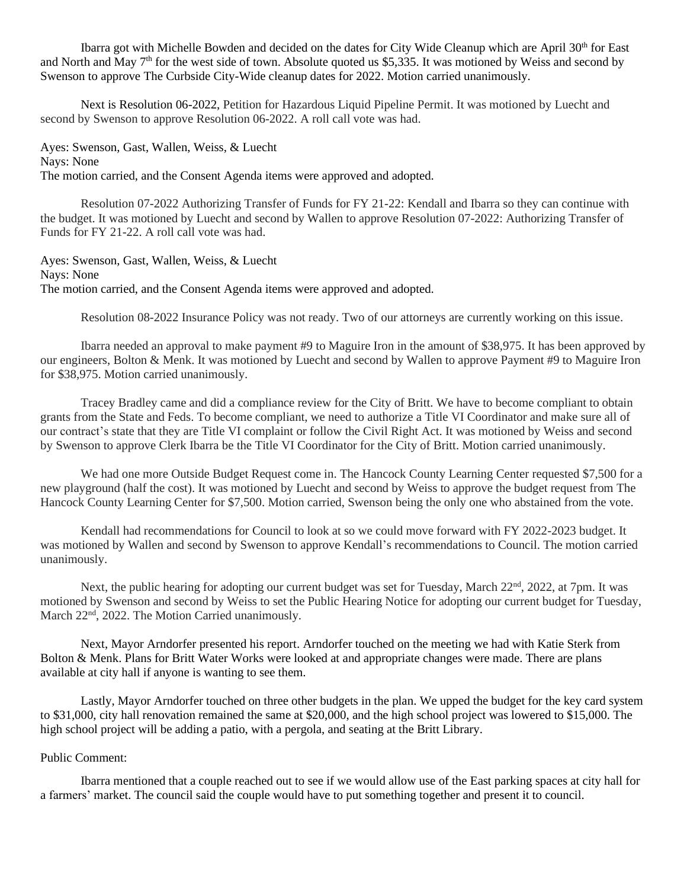Ibarra got with Michelle Bowden and decided on the dates for City Wide Cleanup which are April 30<sup>th</sup> for East and North and May 7<sup>th</sup> for the west side of town. Absolute quoted us \$5,335. It was motioned by Weiss and second by Swenson to approve The Curbside City-Wide cleanup dates for 2022. Motion carried unanimously.

Next is Resolution 06-2022, Petition for Hazardous Liquid Pipeline Permit. It was motioned by Luecht and second by Swenson to approve Resolution 06-2022. A roll call vote was had.

Ayes: Swenson, Gast, Wallen, Weiss, & Luecht Nays: None The motion carried, and the Consent Agenda items were approved and adopted.

Resolution 07-2022 Authorizing Transfer of Funds for FY 21-22: Kendall and Ibarra so they can continue with the budget. It was motioned by Luecht and second by Wallen to approve Resolution 07-2022: Authorizing Transfer of Funds for FY 21-22. A roll call vote was had.

Ayes: Swenson, Gast, Wallen, Weiss, & Luecht Nays: None The motion carried, and the Consent Agenda items were approved and adopted.

Resolution 08-2022 Insurance Policy was not ready. Two of our attorneys are currently working on this issue.

Ibarra needed an approval to make payment #9 to Maguire Iron in the amount of \$38,975. It has been approved by our engineers, Bolton & Menk. It was motioned by Luecht and second by Wallen to approve Payment #9 to Maguire Iron for \$38,975. Motion carried unanimously.

Tracey Bradley came and did a compliance review for the City of Britt. We have to become compliant to obtain grants from the State and Feds. To become compliant, we need to authorize a Title VI Coordinator and make sure all of our contract's state that they are Title VI complaint or follow the Civil Right Act. It was motioned by Weiss and second by Swenson to approve Clerk Ibarra be the Title VI Coordinator for the City of Britt. Motion carried unanimously.

We had one more Outside Budget Request come in. The Hancock County Learning Center requested \$7,500 for a new playground (half the cost). It was motioned by Luecht and second by Weiss to approve the budget request from The Hancock County Learning Center for \$7,500. Motion carried, Swenson being the only one who abstained from the vote.

Kendall had recommendations for Council to look at so we could move forward with FY 2022-2023 budget. It was motioned by Wallen and second by Swenson to approve Kendall's recommendations to Council. The motion carried unanimously.

Next, the public hearing for adopting our current budget was set for Tuesday, March 22<sup>nd</sup>, 2022, at 7pm. It was motioned by Swenson and second by Weiss to set the Public Hearing Notice for adopting our current budget for Tuesday, March 22<sup>nd</sup>, 2022. The Motion Carried unanimously.

Next, Mayor Arndorfer presented his report. Arndorfer touched on the meeting we had with Katie Sterk from Bolton & Menk. Plans for Britt Water Works were looked at and appropriate changes were made. There are plans available at city hall if anyone is wanting to see them.

Lastly, Mayor Arndorfer touched on three other budgets in the plan. We upped the budget for the key card system to \$31,000, city hall renovation remained the same at \$20,000, and the high school project was lowered to \$15,000. The high school project will be adding a patio, with a pergola, and seating at the Britt Library.

## Public Comment:

Ibarra mentioned that a couple reached out to see if we would allow use of the East parking spaces at city hall for a farmers' market. The council said the couple would have to put something together and present it to council.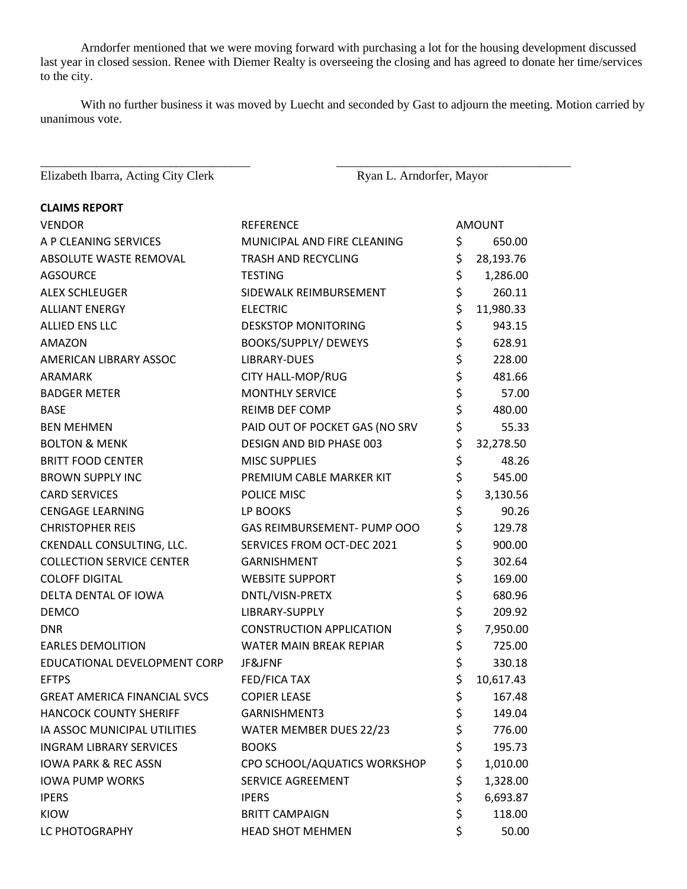Arndorfer mentioned that we were moving forward with purchasing a lot for the housing development discussed last year in closed session. Renee with Diemer Realty is overseeing the closing and has agreed to donate her time/services to the city.

With no further business it was moved by Luecht and seconded by Gast to adjourn the meeting. Motion carried by unanimous vote.

\_\_\_\_\_\_\_\_\_\_\_\_\_\_\_\_\_\_\_\_\_\_\_\_\_\_\_\_\_\_\_\_\_\_ \_\_\_\_\_\_\_\_\_\_\_\_\_\_\_\_\_\_\_\_\_\_\_\_\_\_\_\_\_\_\_\_\_\_\_\_\_\_

Elizabeth Ibarra, Acting City Clerk Ryan L. Arndorfer, Mayor

**CLAIMS REPORT**

| <b>VENDOR</b>                       | <b>REFERENCE</b>                | <b>AMOUNT</b>   |
|-------------------------------------|---------------------------------|-----------------|
| A P CLEANING SERVICES               | MUNICIPAL AND FIRE CLEANING     | \$<br>650.00    |
| ABSOLUTE WASTE REMOVAL              | TRASH AND RECYCLING             | \$<br>28,193.76 |
| <b>AGSOURCE</b>                     | <b>TESTING</b>                  | \$<br>1,286.00  |
| <b>ALEX SCHLEUGER</b>               | SIDEWALK REIMBURSEMENT          | \$<br>260.11    |
| <b>ALLIANT ENERGY</b>               | <b>ELECTRIC</b>                 | \$<br>11,980.33 |
| ALLIED ENS LLC                      | <b>DESKSTOP MONITORING</b>      | \$<br>943.15    |
| AMAZON                              | BOOKS/SUPPLY/ DEWEYS            | \$<br>628.91    |
| AMERICAN LIBRARY ASSOC              | LIBRARY-DUES                    | \$<br>228.00    |
| ARAMARK                             | CITY HALL-MOP/RUG               | \$<br>481.66    |
| <b>BADGER METER</b>                 | <b>MONTHLY SERVICE</b>          | \$<br>57.00     |
| <b>BASE</b>                         | <b>REIMB DEF COMP</b>           | \$<br>480.00    |
| <b>BEN MEHMEN</b>                   | PAID OUT OF POCKET GAS (NO SRV  | \$<br>55.33     |
| <b>BOLTON &amp; MENK</b>            | DESIGN AND BID PHASE 003        | \$<br>32,278.50 |
| <b>BRITT FOOD CENTER</b>            | <b>MISC SUPPLIES</b>            | \$<br>48.26     |
| <b>BROWN SUPPLY INC</b>             | PREMIUM CABLE MARKER KIT        | \$<br>545.00    |
| <b>CARD SERVICES</b>                | POLICE MISC                     | \$<br>3,130.56  |
| <b>CENGAGE LEARNING</b>             | LP BOOKS                        | \$<br>90.26     |
| <b>CHRISTOPHER REIS</b>             | GAS REIMBURSEMENT- PUMP OOO     | \$<br>129.78    |
| CKENDALL CONSULTING, LLC.           | SERVICES FROM OCT-DEC 2021      | \$<br>900.00    |
| <b>COLLECTION SERVICE CENTER</b>    | <b>GARNISHMENT</b>              | \$<br>302.64    |
| <b>COLOFF DIGITAL</b>               | <b>WEBSITE SUPPORT</b>          | \$<br>169.00    |
| DELTA DENTAL OF IOWA                | DNTL/VISN-PRETX                 | \$<br>680.96    |
| <b>DEMCO</b>                        | LIBRARY-SUPPLY                  | \$<br>209.92    |
| <b>DNR</b>                          | <b>CONSTRUCTION APPLICATION</b> | \$<br>7,950.00  |
| <b>EARLES DEMOLITION</b>            | WATER MAIN BREAK REPIAR         | \$<br>725.00    |
| EDUCATIONAL DEVELOPMENT CORP        | JF&JFNF                         | \$<br>330.18    |
| <b>EFTPS</b>                        | FED/FICA TAX                    | \$<br>10,617.43 |
| <b>GREAT AMERICA FINANCIAL SVCS</b> | <b>COPIER LEASE</b>             | \$<br>167.48    |
| <b>HANCOCK COUNTY SHERIFF</b>       | GARNISHMENT3                    | \$<br>149.04    |
| IA ASSOC MUNICIPAL UTILITIES        | WATER MEMBER DUES 22/23         | \$<br>776.00    |
| <b>INGRAM LIBRARY SERVICES</b>      | <b>BOOKS</b>                    | \$<br>195.73    |
| <b>IOWA PARK &amp; REC ASSN</b>     | CPO SCHOOL/AQUATICS WORKSHOP    | \$<br>1,010.00  |
| <b>IOWA PUMP WORKS</b>              | SERVICE AGREEMENT               | \$<br>1,328.00  |
| <b>IPERS</b>                        | <b>IPERS</b>                    | \$<br>6,693.87  |
| <b>KIOW</b>                         | <b>BRITT CAMPAIGN</b>           | \$<br>118.00    |
| LC PHOTOGRAPHY                      | <b>HEAD SHOT MEHMEN</b>         | \$<br>50.00     |